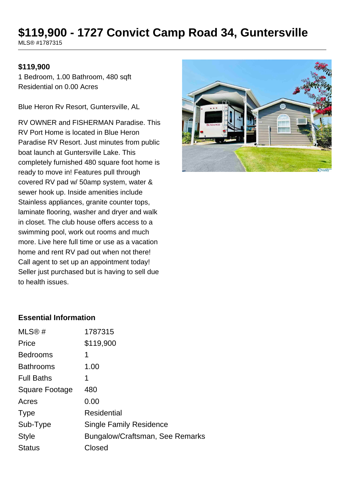# **\$119,900 - 1727 Convict Camp Road 34, Guntersville**

MLS® #1787315

#### **\$119,900**

1 Bedroom, 1.00 Bathroom, 480 sqft Residential on 0.00 Acres

Blue Heron Rv Resort, Guntersville, AL

RV OWNER and FISHERMAN Paradise. This RV Port Home is located in Blue Heron Paradise RV Resort. Just minutes from public boat launch at Guntersville Lake. This completely furnished 480 square foot home is ready to move in! Features pull through covered RV pad w/ 50amp system, water & sewer hook up. Inside amenities include Stainless appliances, granite counter tops, laminate flooring, washer and dryer and walk in closet. The club house offers access to a swimming pool, work out rooms and much more. Live here full time or use as a vacation home and rent RV pad out when not there! Call agent to set up an appointment today! Seller just purchased but is having to sell due to health issues.



#### **Essential Information**

| MLS@#                 | 1787315                         |
|-----------------------|---------------------------------|
| Price                 | \$119,900                       |
| <b>Bedrooms</b>       | 1                               |
| <b>Bathrooms</b>      | 1.00                            |
| <b>Full Baths</b>     | 1                               |
| <b>Square Footage</b> | 480                             |
| Acres                 | 0.00                            |
| <b>Type</b>           | Residential                     |
| Sub-Type              | <b>Single Family Residence</b>  |
| <b>Style</b>          | Bungalow/Craftsman, See Remarks |
| <b>Status</b>         | Closed                          |